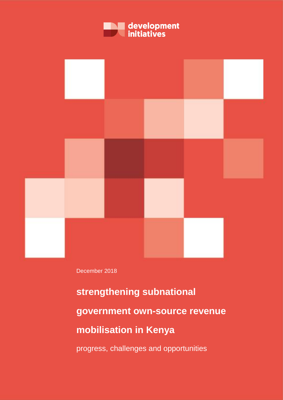



December 2018

**strengthening subnational government own-source revenue mobilisation in Kenya**

progress, challenges and opportunities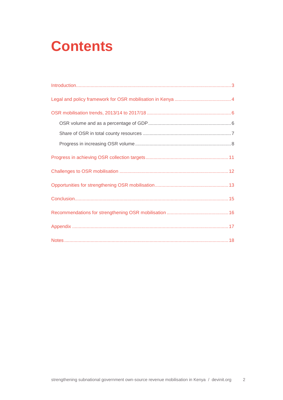# **Contents**

| Introduction 3 |
|----------------|
|                |
|                |
|                |
|                |
|                |
|                |
|                |
|                |
|                |
|                |
|                |
|                |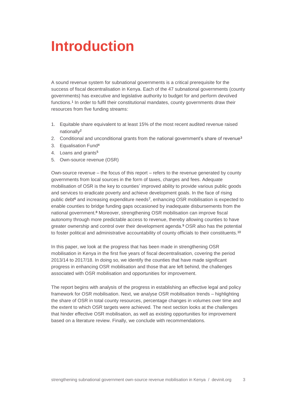## <span id="page-2-0"></span>**Introduction**

A sound revenue system for subnational governments is a critical prerequisite for the success of fiscal decentralisation in Kenya. Each of the 47 subnational governments (county governments) has executive and legislative authority to budget for and perform devolved functions. 1 In order to fulfil their constitutional mandates, county governments draw their resources from five funding streams:

- 1. Equitable share equivalent to at least 15% of the most recent audited revenue raised nationally<sup>2</sup>
- 2. Conditional and unconditional grants from the national government's share of revenue<sup>3</sup>
- 3. Equalisation Fund<sup>4</sup>
- 4. Loans and grants<sup>5</sup>
- 5. Own-source revenue (OSR)

Own-source revenue – the focus of this report – refers to the revenue generated by county governments from local sources in the form of taxes, charges and fees. Adequate mobilisation of OSR is the key to counties' improved ability to provide various public goods and services to eradicate poverty and achieve development goals. In the face of rising public debt<sup>6</sup> and increasing expenditure needs<sup>7</sup>, enhancing OSR mobilisation is expected to enable counties to bridge funding gaps occasioned by inadequate disbursements from the national government.<sup>8</sup> Moreover, strengthening OSR mobilisation can improve fiscal autonomy through more predictable access to revenue, thereby allowing counties to have greater ownership and control over their development agenda. <sup>9</sup> OSR also has the potential to foster political and administrative accountability of county officials to their constituents.<sup>10</sup>

In this paper, we look at the progress that has been made in strengthening OSR mobilisation in Kenya in the first five years of fiscal decentralisation, covering the period 2013/14 to 2017/18. In doing so, we identify the counties that have made significant progress in enhancing OSR mobilisation and those that are left behind, the challenges associated with OSR mobilisation and opportunities for improvement.

The report begins with analysis of the progress in establishing an effective legal and policy framework for OSR mobilisation. Next, we analyse OSR mobilisation trends – highlighting the share of OSR in total county resources, percentage changes in volumes over time and the extent to which OSR targets were achieved. The next section looks at the challenges that hinder effective OSR mobilisation, as well as existing opportunities for improvement based on a literature review. Finally, we conclude with recommendations.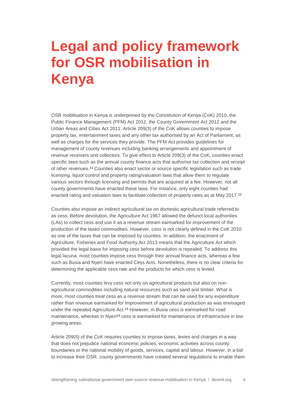## <span id="page-3-0"></span>**Legal and policy framework for OSR mobilisation in Kenya**

OSR mobilisation in Kenya is underpinned by the Constitution of Kenya (CoK) 2010, the Public Finance Management (PFM) Act 2012, the County Government Act 2012 and the Urban Areas and Cities Act 2011. Article 209(3) of the CoK allows counties to impose property tax, entertainment taxes and any other tax authorised by an Act of Parliament, as well as charges for the services they provide. The PFM Act provides guidelines for management of county revenues including banking arrangements and appointment of revenue receivers and collectors. To give effect to Article 209(3) of the CoK, counties enact specific laws such as the annual county finance acts that authorise tax collection and receipt of other revenues.<sup>11</sup> Counties also enact sector or source specific legislation such as trade licensing, liquor control and property rating/valuation laws that allow them to regulate various sectors through licensing and permits that are acquired at a fee. However, not all county governments have enacted these laws. For instance, only eight counties had enacted rating and valuation laws to facilitate collection of property rates as at May 2017.<sup>12</sup>

Counties also impose an indirect agricultural tax on domestic agricultural trade referred to as cess. Before devolution, the Agriculture Act 1967 allowed the defunct local authorities (LAs) to collect cess and use it as a revenue stream earmarked for improvement of the production of the taxed commodities. However, cess is not clearly defined in the CoK 2010 as one of the taxes that can be imposed by counties. In addition, the enactment of Agriculture, Fisheries and Food Authority Act 2013 means that the Agriculture Act which provided the legal basis for imposing cess before devolution is repealed. To address this legal lacuna, most counties impose cess through their annual finance acts, whereas a few such as Busia and Nyeri have enacted Cess Acts. Nonetheless, there is no clear criteria for determining the applicable cess rate and the products for which cess is levied.

Currently, most counties levy cess not only on agricultural products but also on nonagricultural commodities including natural resources such as sand and timber. What is more, most counties treat cess as a revenue stream that can be used for any expenditure rather than revenue earmarked for improvement of agricultural production as was envisaged under the repealed Agriculture Act.<sup>13</sup> However, in Busia cess is earmarked for road maintenance, whereas in Nyeri<sup>14</sup> cess is earmarked for maintenance of infrastructure in teagrowing areas.

Article 209(5) of the CoK requires counties to impose taxes, levies and charges in a way that does not prejudice national economic policies, economic activities across county boundaries or the national mobility of goods, services, capital and labour. However, in a bid to increase their OSR, county governments have created several regulations to enable them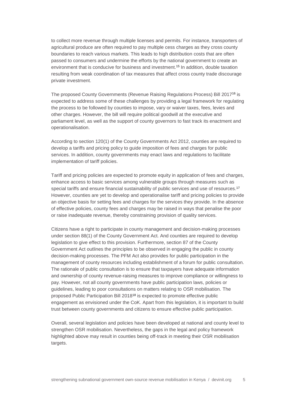to collect more revenue through multiple licenses and permits. For instance, transporters of agricultural produce are often required to pay multiple cess charges as they cross county boundaries to reach various markets. This leads to high distribution costs that are often passed to consumers and undermine the efforts by the national government to create an environment that is conducive for business and investment. <sup>15</sup> In addition, double taxation resulting from weak coordination of tax measures that affect cross county trade discourage private investment.

The proposed County Governments (Revenue Raising Regulations Process) Bill 2017<sup>16</sup> is expected to address some of these challenges by providing a legal framework for regulating the process to be followed by counties to impose, vary or waiver taxes, fees, levies and other charges. However, the bill will require political goodwill at the executive and parliament level, as well as the support of county governors to fast track its enactment and operationalisation.

According to section 120(1) of the County Governments Act 2012, counties are required to develop a tariffs and pricing policy to guide imposition of fees and charges for public services. In addition, county governments may enact laws and regulations to facilitate implementation of tariff policies.

Tariff and pricing policies are expected to promote equity in application of fees and charges, enhance access to basic services among vulnerable groups through measures such as special tariffs and ensure financial sustainability of public services and use of resources.<sup>17</sup> However, counties are yet to develop and operationalise tariff and pricing policies to provide an objective basis for setting fees and charges for the services they provide. In the absence of effective policies, county fees and charges may be raised in ways that penalise the poor or raise inadequate revenue, thereby constraining provision of quality services.

Citizens have a right to participate in county management and decision-making processes under section 88(1) of the County Government Act. And counties are required to develop legislation to give effect to this provision. Furthermore, section 87 of the County Government Act outlines the principles to be observed in engaging the public in county decision-making processes. The PFM Act also provides for public participation in the management of county resources including establishment of a forum for public consultation. The rationale of public consultation is to ensure that taxpayers have adequate information and ownership of county revenue-raising measures to improve compliance or willingness to pay. However, not all county governments have public participation laws, policies or guidelines, leading to poor consultations on matters relating to OSR mobilisation. The proposed Public Participation Bill 2018<sup>18</sup> is expected to promote effective public engagement as envisioned under the CoK. Apart from this legislation, it is important to build trust between county governments and citizens to ensure effective public participation.

Overall, several legislation and policies have been developed at national and county level to strengthen OSR mobilisation. Nevertheless, the gaps in the legal and policy framework highlighted above may result in counties being off-track in meeting their OSR mobilisation targets.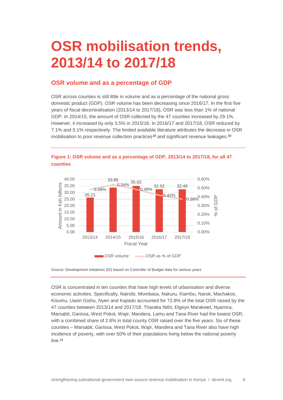## <span id="page-5-0"></span>**OSR mobilisation trends, 2013/14 to 2017/18**

#### <span id="page-5-1"></span>**OSR volume and as a percentage of GDP**

OSR across counties is still little in volume and as a percentage of the national gross domestic product (GDP). OSR volume has been decreasing since 2016/17. In the first five years of fiscal decentralisation (2013/14 to 2017/18), OSR was less than 1% of national GDP. In 2014/15, the amount of OSR collected by the 47 counties increased by 29.1%. However, it increased by only 3.5% in 2015/16. In 2016/17 and 2017/18, OSR reduced by 7.1% and 0.1% respectively. The limited available literature attributes the decrease in OSR mobilisation to poor revenue collection practices<sup>19</sup> and significant revenue leakages.<sup>20</sup>





Source: Development Initiatives (DI) based on Controller of Budget data for various years

OSR is concentrated in ten counties that have high levels of urbanisation and diverse economic activities. Specifically, Nairobi, Mombasa, Nakuru, Kiambu, Narok, Machakos, Kisumu, Uasin Gishu, Nyeri and Kajiado accounted for 72.8% of the total OSR raised by the 47 counties between 2013/14 and 2017/18. Tharaka Nithi, Elgeyo Marakwet, Nyamira, Marsabit, Garissa, West Pokot, Wajir, Mandera, Lamu and Tana River had the lowest OSR, with a combined share of 2.8% in total county OSR raised over the five years. Six of these counties – Marsabit, Garissa, West Pokot, Wajir, Mandera and Tana River also have high incidence of poverty, with over 50% of their populations living below the national poverty line.<sup>21</sup>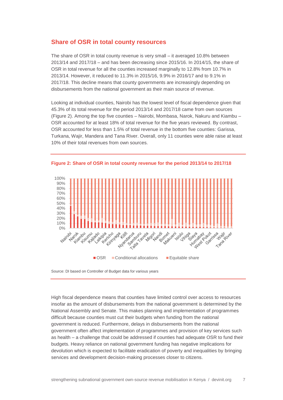#### <span id="page-6-0"></span>**Share of OSR in total county resources**

The share of OSR in total county revenue is very small – it averaged 10.8% between 2013/14 and 2017/18 – and has been decreasing since 2015/16. In 2014/15, the share of OSR in total revenue for all the counties increased marginally to 12.8% from 10.7% in 2013/14. However, it reduced to 11.3% in 2015/16, 9.9% in 2016/17 and to 9.1% in 2017/18. This decline means that county governments are increasingly depending on disbursements from the national government as their main source of revenue.

Looking at individual counties, Nairobi has the lowest level of fiscal dependence given that 45.3% of its total revenue for the period 2013/14 and 2017/18 came from own sources (Figure 2). Among the top five counties – Nairobi, Mombasa, Narok, Nakuru and Kiambu – OSR accounted for at least 18% of total revenue for the five years reviewed. By contrast, OSR accounted for less than 1.5% of total revenue in the bottom five counties: Garissa, Turkana, Wajir, Mandera and Tana River. Overall, only 11 counties were able raise at least 10% of their total revenues from own sources.



**Figure 2: Share of OSR in total county revenue for the period 2013/14 to 2017/18** 

Source: DI based on Controller of Budget data for various years

High fiscal dependence means that counties have limited control over access to resources insofar as the amount of disbursements from the national government is determined by the National Assembly and Senate. This makes planning and implementation of programmes difficult because counties must cut their budgets when funding from the national government is reduced. Furthermore, delays in disbursements from the national government often affect implementation of programmes and provision of key services such as health – a challenge that could be addressed if counties had adequate OSR to fund their budgets. Heavy reliance on national government funding has negative implications for devolution which is expected to facilitate eradication of poverty and inequalities by bringing services and development decision-making processes closer to citizens.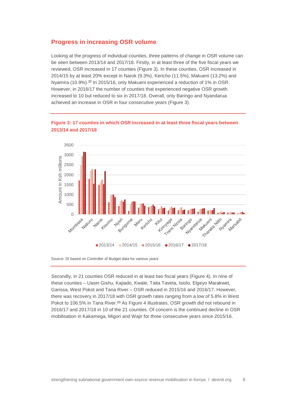#### <span id="page-7-0"></span>**Progress in increasing OSR volume**

Looking at the progress of individual counties, three patterns of change in OSR volume can be seen between 2013/14 and 2017/18. Firstly, in at least three of the five fiscal years we reviewed, OSR increased in 17 counties (Figure 3). In these counties, OSR increased in 2014/15 by at least 20% except in Narok (9.3%), Kericho (11.5%), Makueni (13.2%) and Nyamira (10.9%). <sup>22</sup> In 2015/16, only Makueni experienced a reduction of 1% in OSR. However, in 2016/17 the number of counties that experienced negative OSR growth increased to 10 but reduced to six in 2017/18. Overall, only Baringo and Nyandarua achieved an increase in OSR in four consecutive years (Figure 3).



#### **Figure 3: 17 counties in which OSR increased in at least three fiscal years between 2013/14 and 2017/18**

Source: DI based on Controller of Budget data for various years

Secondly, in 21 counties OSR reduced in at least two fiscal years (Figure 4). In nine of these counties – Uasin Gishu, Kajiado, Kwale, Taita Taveta, Isiolo, Elgeyo Marakwet, Garissa, West Pokot and Tana River – OSR reduced in 2015/16 and 2016/17. However, there was recovery in 2017/18 with OSR growth rates ranging from a low of 5.8% in West Pokot to 106.5% in Tana River.<sup>23</sup> As Figure 4 illustrates, OSR growth did not rebound in 2016/17 and 2017/18 in 10 of the 21 counties. Of concern is the continued decline in OSR mobilisation in Kakamega, Migori and Wajir for three consecutive years since 2015/16.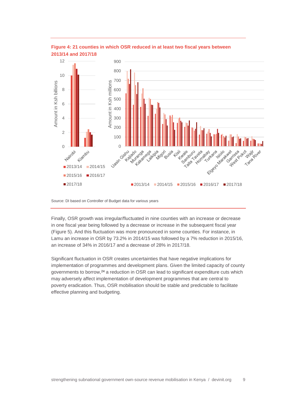



Source: DI based on Controller of Budget data for various years

Finally, OSR growth was irregular/fluctuated in nine counties with an increase or decrease in one fiscal year being followed by a decrease or increase in the subsequent fiscal year (Figure 5). And this fluctuation was more pronounced in some counties. For instance, in Lamu an increase in OSR by 73.2% in 2014/15 was followed by a 7% reduction in 2015/16, an increase of 34% in 2016/17 and a decrease of 28% in 2017/18.

Significant fluctuation in OSR creates uncertainties that have negative implications for implementation of programmes and development plans. Given the limited capacity of county governments to borrow,<sup>24</sup> a reduction in OSR can lead to significant expenditure cuts which may adversely affect implementation of development programmes that are central to poverty eradication. Thus, OSR mobilisation should be stable and predictable to facilitate effective planning and budgeting.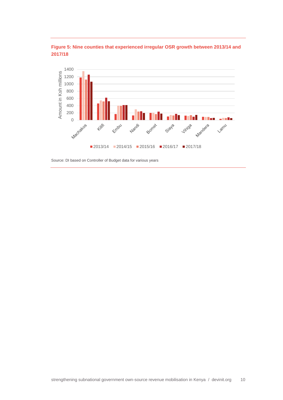



Source: DI based on Controller of Budget data for various years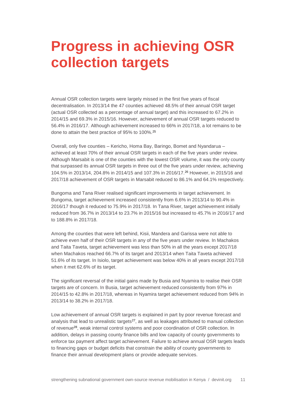## <span id="page-10-0"></span>**Progress in achieving OSR collection targets**

Annual OSR collection targets were largely missed in the first five years of fiscal decentralisation. In 2013/14 the 47 counties achieved 48.5% of their annual OSR target (actual OSR collected as a percentage of annual target) and this increased to 67.2% in 2014/15 and 69.3% in 2015/16. However, achievement of annual OSR targets reduced to 56.4% in 2016/17. Although achievement increased to 66% in 2017/18, a lot remains to be done to attain the best practice of 95% to 100%.<sup>25</sup>

Overall, only five counties – Kericho, Homa Bay, Baringo, Bomet and Nyandarua – achieved at least 70% of their annual OSR targets in each of the five years under review. Although Marsabit is one of the counties with the lowest OSR volume, it was the only county that surpassed its annual OSR targets in three out of the five years under review, achieving 104.5% in 2013/14, 204.8% in 2014/15 and 107.3% in 2016/17.<sup>26</sup> However, in 2015/16 and 2017/18 achievement of OSR targets in Marsabit reduced to 86.1% and 64.1% respectively.

Bungoma and Tana River realised significant improvements in target achievement. In Bungoma, target achievement increased consistently from 6.6% in 2013/14 to 90.4% in 2016/17 though it reduced to 75.9% in 2017/18. In Tana River, target achievement initially reduced from 36.7% in 2013/14 to 23.7% in 2015/16 but increased to 45.7% in 2016/17 and to 188.8% in 2017/18.

Among the counties that were left behind, Kisii, Mandera and Garissa were not able to achieve even half of their OSR targets in any of the five years under review. In Machakos and Taita Taveta, target achievement was less than 50% in all the years except 2017/18 when Machakos reached 66.7% of its target and 2013/14 when Taita Taveta achieved 51.6% of its target. In Isiolo, target achievement was below 40% in all years except 2017/18 when it met 62.6% of its target.

The significant reversal of the initial gains made by Busia and Nyamira to realise their OSR targets are of concern. In Busia, target achievement reduced consistently from 97% in 2014/15 to 42.8% in 2017/18, whereas in Nyamira target achievement reduced from 94% in 2013/14 to 38.2% in 2017/18.

Low achievement of annual OSR targets is explained in part by poor revenue forecast and analysis that lead to unrealistic targets $27$ , as well as leakages attributed to manual collection of revenue<sup>28</sup>, weak internal control systems and poor coordination of OSR collection. In addition, delays in passing county finance bills and low capacity of county governments to enforce tax payment affect target achievement. Failure to achieve annual OSR targets leads to financing gaps or budget deficits that constrain the ability of county governments to finance their annual development plans or provide adequate services.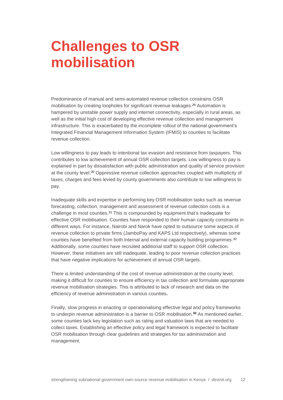## <span id="page-11-0"></span>**Challenges to OSR mobilisation**

Predominance of manual and semi-automated revenue collection constrains OSR mobilisation by creating loopholes for significant revenue leakages. <sup>29</sup> Automation is hampered by unstable power supply and internet connectivity, especially in rural areas, as well as the initial high cost of developing effective revenue collection and management infrastructure. This is exacerbated by the incomplete rollout of the national government's Integrated Financial Management Information System (IFMIS) to counties to facilitate revenue collection.

Low willingness to pay leads to intentional tax evasion and resistance from taxpayers. This contributes to low achievement of annual OSR collection targets. Low willingness to pay is explained in part by dissatisfaction with public administration and quality of service provision at the county level.<sup>30</sup> Oppressive revenue collection approaches coupled with multiplicity of taxes, charges and fees levied by county governments also contribute to low willingness to pay.

Inadequate skills and expertise in performing key OSR mobilisation tasks such as revenue forecasting, collection, management and assessment of revenue collection costs is a challenge in most counties.<sup>31</sup> This is compounded by equipment that's inadequate for effective OSR mobilisation. Counties have responded to their human capacity constraints in different ways. For instance, Nairobi and Narok have opted to outsource some aspects of revenue collection to private firms (JamboPay and KAPS Ltd respectively), whereas some counties have benefited from both internal and external capacity building programmes.<sup>32</sup> Additionally, some counties have recruited additional staff to support OSR collection. However, these initiatives are still inadequate, leading to poor revenue collection practices that have negative implications for achievement of annual OSR targets.

There is limited understanding of the cost of revenue administration at the county level, making it difficult for counties to ensure efficiency in tax collection and formulate appropriate revenue mobilisation strategies. This is attributed to lack of research and data on the efficiency of revenue administration in various counties**.**

Finally, slow progress in enacting or operationalising effective legal and policy frameworks to underpin revenue administration is a barrier to OSR mobilisation.**<sup>33</sup>** As mentioned earlier, some counties lack key legislation such as rating and valuation laws that are needed to collect taxes. Establishing an effective policy and legal framework is expected to facilitate OSR mobilisation through clear guidelines and strategies for tax administration and management.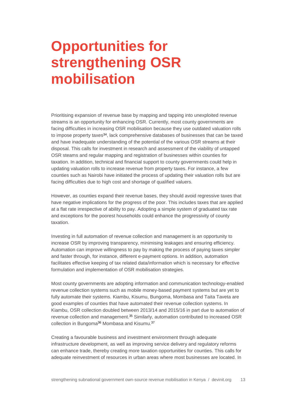## <span id="page-12-0"></span>**Opportunities for strengthening OSR mobilisation**

Prioritising expansion of revenue base by mapping and tapping into unexploited revenue streams is an opportunity for enhancing OSR. Currently, most county governments are facing difficulties in increasing OSR mobilisation because they use outdated valuation rolls to impose property taxes<sup>34</sup>, lack comprehensive databases of businesses that can be taxed and have inadequate understanding of the potential of the various OSR streams at their disposal. This calls for investment in research and assessment of the viability of untapped OSR steams and regular mapping and registration of businesses within counties for taxation. In addition, technical and financial support to county governments could help in updating valuation rolls to increase revenue from property taxes. For instance, a few counties such as Nairobi have initiated the process of updating their valuation rolls but are facing difficulties due to high cost and shortage of qualified valuers.

However, as counties expand their revenue bases, they should avoid regressive taxes that have negative implications for the progress of the poor. This includes taxes that are applied at a flat rate irrespective of ability to pay. Adopting a simple system of graduated tax rate and exceptions for the poorest households could enhance the progressivity of county taxation.

Investing in full automation of revenue collection and management is an opportunity to increase OSR by improving transparency, minimising leakages and ensuring efficiency. Automation can improve willingness to pay by making the process of paying taxes simpler and faster through, for instance, different e-payment options. In addition, automation facilitates effective keeping of tax related data/information which is necessary for effective formulation and implementation of OSR mobilisation strategies.

Most county governments are adopting information and communication technology-enabled revenue collection systems such as mobile money-based payment systems but are yet to fully automate their systems. Kiambu, Kisumu, Bungoma, Mombasa and Taita Taveta are good examples of counties that have automated their revenue collection systems. In Kiambu, OSR collection doubled between 2013/14 and 2015/16 in part due to automation of revenue collection and management.<sup>35</sup> Similarly, automation contributed to increased OSR collection in Bungoma<sup>36</sup> Mombasa and Kisumu.<sup>37</sup>

Creating a favourable business and investment environment through adequate infrastructure development, as well as improving service delivery and regulatory reforms can enhance trade, thereby creating more taxation opportunities for counties. This calls for adequate reinvestment of resources in urban areas where most businesses are located. In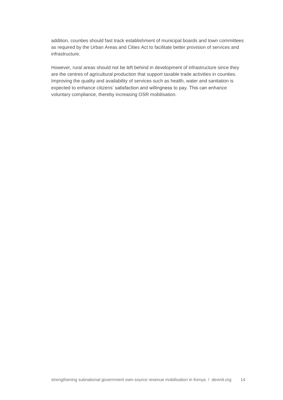addition, counties should fast track establishment of municipal boards and town committees as required by the Urban Areas and Cities Act to facilitate better provision of services and infrastructure.

However, rural areas should not be left behind in development of infrastructure since they are the centres of agricultural production that support taxable trade activities in counties. Improving the quality and availability of services such as health, water and sanitation is expected to enhance citizens' satisfaction and willingness to pay. This can enhance voluntary compliance, thereby increasing OSR mobilisation.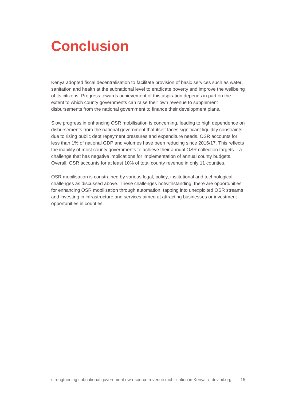## <span id="page-14-0"></span>**Conclusion**

Kenya adopted fiscal decentralisation to facilitate provision of basic services such as water, sanitation and health at the subnational level to eradicate poverty and improve the wellbeing of its citizens. Progress towards achievement of this aspiration depends in part on the extent to which county governments can raise their own revenue to supplement disbursements from the national government to finance their development plans.

Slow progress in enhancing OSR mobilisation is concerning, leading to high dependence on disbursements from the national government that itself faces significant liquidity constraints due to rising public debt repayment pressures and expenditure needs. OSR accounts for less than 1% of national GDP and volumes have been reducing since 2016/17. This reflects the inability of most county governments to achieve their annual OSR collection targets – a challenge that has negative implications for implementation of annual county budgets. Overall, OSR accounts for at least 10% of total county revenue in only 11 counties.

OSR mobilisation is constrained by various legal, policy, institutional and technological challenges as discussed above. These challenges notwithstanding, there are opportunities for enhancing OSR mobilisation through automation, tapping into unexploited OSR streams and investing in infrastructure and services aimed at attracting businesses or investment opportunities in counties.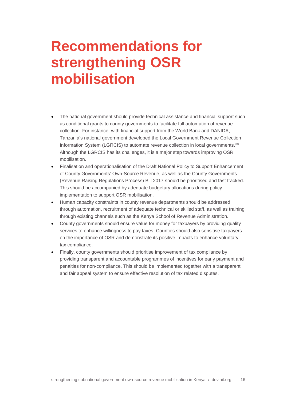## <span id="page-15-0"></span>**Recommendations for strengthening OSR mobilisation**

- The national government should provide technical assistance and financial support such as conditional grants to county governments to facilitate full automation of revenue collection. For instance, with financial support from the World Bank and DANIDA, Tanzania's national government developed the Local Government Revenue Collection Information System (LGRCIS) to automate revenue collection in local governments.<sup>38</sup> Although the LGRCIS has its challenges, it is a major step towards improving OSR mobilisation.
- Finalisation and operationalisation of the Draft National Policy to Support Enhancement of County Governments' Own-Source Revenue, as well as the County Governments (Revenue Raising Regulations Process) Bill 2017 should be prioritised and fast tracked. This should be accompanied by adequate budgetary allocations during policy implementation to support OSR mobilisation.
- Human capacity constraints in county revenue departments should be addressed through automation, recruitment of adequate technical or skilled staff, as well as training through existing channels such as the Kenya School of Revenue Administration.
- County governments should ensure value for money for taxpayers by providing quality services to enhance willingness to pay taxes. Counties should also sensitise taxpayers on the importance of OSR and demonstrate its positive impacts to enhance voluntary tax compliance.
- Finally, county governments should prioritise improvement of tax compliance by providing transparent and accountable programmes of incentives for early payment and penalties for non-compliance. This should be implemented together with a transparent and fair appeal system to ensure effective resolution of tax related disputes.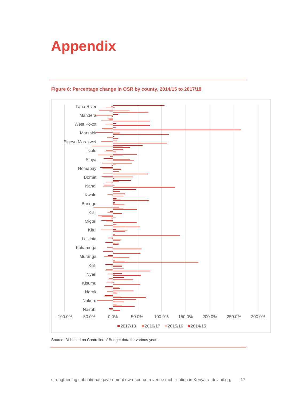# <span id="page-16-0"></span>**Appendix**



#### **Figure 6: Percentage change in OSR by county, 2014/15 to 2017/18**

Source: DI based on Controller of Budget data for various years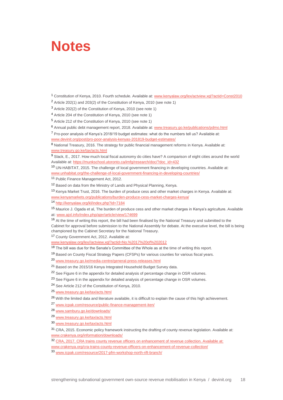#### <span id="page-17-0"></span>**Notes**

<sup>1</sup> Constitution of Kenya, 2010. Fourth schedule. Available at: [www.kenyalaw.org/lex/actview.xql?actid=Const2010](http://www.kenyalaw.org/lex/actview.xql?actid=Const2010)

<sup>2</sup> Article 202(1) and 203(2) of the Constitution of Kenya, 2010 (see note 1)

<sup>3</sup> Article 202(2) of the Constitution of Kenya, 2010 (see note 1)

- <sup>4</sup> Article 204 of the Constitution of Kenya, 2010 (see note 1)
- <sup>5</sup> Article 212 of the Constitution of Kenya, 2010 (see note 1)
- <sup>6</sup> Annual public debt management report, 2018. Available at: [www.treasury.go.ke/publications/pdmo.html](http://www.treasury.go.ke/publications/pdmo.html)

<sup>7</sup> Pro-poor analysis of Kenya's 2018/19 budget estimates: what do the numbers tell us? Available at: www.devinit.org/post/pro-poor-analysis-kenyas-201819-budget-estimates/

8 National Treasury, 2016. The strategy for public financial management reforms in Kenya. Available at: [www.treasury.go.ke/tax/acts.html](http://www.treasury.go.ke/tax/acts.html)

9 Slack, E., 2017. How much local fiscal autonomy do cities have? A comparison of eight cities around the world Available at: https://munkschool.utoronto.ca/imfq/research/doc/?doc\_id=432

<sup>10</sup> UN-HABITAT, 2015. The challenge of local government financing in developing countries. Available at: www.unhabitat.org/the-challenge-of-local-government-financing-in-developing-countries/

<sup>11</sup> Public Finance Management Act, 2012.

<sup>12</sup> Based on data from the Ministry of Lands and Physical Planning, Kenya.

<sup>13</sup> Kenya Market Trust, 2016. The burden of produce cess and other market charges in Kenya. Available at: www.kenyamarkets.org/publications/burden-produce-cess-market-charges-kenya/

<sup>14</sup> <http://kenyalaw.org/kl/index.php?id=7184>

<sup>15</sup> Maurice J. Ogada et al, The burden of produce cess and other market charges in Kenya's agriculture. Available at: www.ajol.info/index.php/ajer/article/view/174699

<sup>16</sup> At the time of writing this report, the bill had been finalised by the National Treasury and submitted to the Cabinet for approval before submission to the National Assembly for debate. At the executive level, the bill is being championed by the Cabinet Secretary for the National Treasury.

<sup>17</sup> County Government Act, 2012. Available at:

[www.kenyalaw.org/lex//actview.xql?actid=No.%2017%20of%202012](file:///C:/Users/bonifaceo.DI/AppData/Local/Microsoft/Windows/Temporary%20Internet%20Files/Content.Outlook/PG05NZB8/www.kenyalaw.org/lex/actview.xql%3factid=No.%2017%20of%202012)

<sup>18</sup> The bill was due for the Senate's Committee of the Whole as at the time of writing this report.

<sup>19</sup> Based on County Fiscal Strategy Papers (CFSPs) for various counties for various fiscal years.

<sup>20</sup> [www.treasury.go.ke/media-centre/general-press-releases.html](http://www.treasury.go.ke/media-centre/general-press-releases.html)

- <sup>22</sup> See Figure 6 in the appendix for detailed analysis of percentage change in OSR volumes.
- <sup>23</sup> See Figure 6 in the appendix for detailed analysis of percentage change in OSR volumes.

<sup>24</sup> See Article 212 of the Constitution of Kenya, 2010.

<sup>26</sup> With the limited data and literature available, it is difficult to explain the cause of this high achievement.

<sup>27</sup> [www.icpak.com/resource/public-finance-management-iten/](http://www.icpak.com/resource/public-finance-management-iten/)

- <sup>28</sup> [www.samburu.go.ke/downloads/](http://www.samburu.go.ke/downloads/)
- <sup>29</sup> [www.treasury.go.ke/tax/acts.html](http://www.treasury.go.ke/tax/acts.html)
- <sup>30</sup> [www.treasury.go.ke/tax/acts.html](http://www.treasury.go.ke/tax/acts.html)

<sup>31</sup> CRA, 2015. Economic policy framework instructing the drafting of county revenue legislation. Available at: [www.crakenya.org/information/downloads/](http://www.crakenya.org/information/downloads/)

<sup>32</sup> CRA, 2017. CRA trains county revenue officers on enhancement of revenue collection. Available at: www.crakenya.org/cra-trains-county-revenue-officers-on-enhancement-of-revenue-collection/

<sup>33</sup> [www.icpak.com/resource/2017-pfm-workshop-north-rift-branch/](http://www.icpak.com/resource/2017-pfm-workshop-north-rift-branch/)

<sup>21</sup> Based on the 2015/16 Kenya Integrated Household Budget Survey data.

<sup>25</sup> [www.treasury.go.ke/tax/acts.html](http://www.treasury.go.ke/tax/acts.html)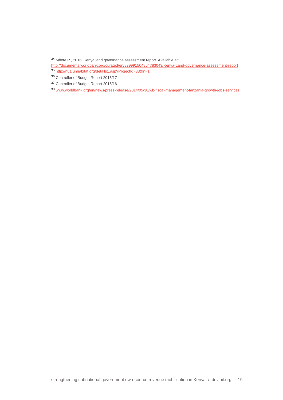Mbote P., 2016. Kenya land governance assessment report. Available at:

<http://documents.worldbank.org/curated/en/829991504864783043/Kenya-Land-governance-assessment-report>

- <http://nua.unhabitat.org/details1.asp?ProjectId=33&ln=1>
- Controller of Budget Report 2016/17
- Controller of Budget Report 2015/16
- [www.worldbank.org/en/news/press-release/2014/05/30/wb-fiscal-management-tanzania-growth-jobs-services](http://www.worldbank.org/en/news/press-release/2014/05/30/wb-fiscal-management-tanzania-growth-jobs-services)